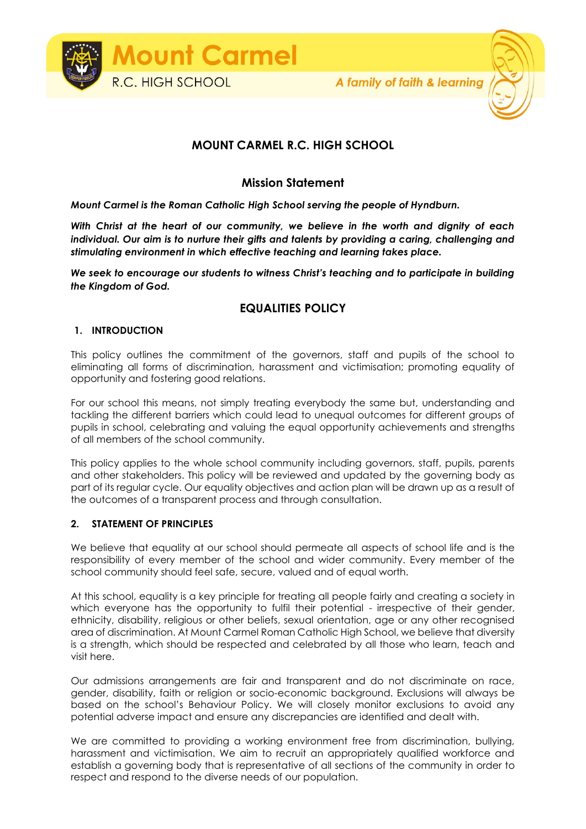

# **MOUNT CARMEL R.C. HIGH SCHOOL**

## **Mission Statement**

*Mount Carmel is the Roman Catholic High School serving the people of Hyndburn.*

*With Christ at the heart of our community, we believe in the worth and dignity of each individual. Our aim is to nurture their gifts and talents by providing a caring, challenging and stimulating environment in which effective teaching and learning takes place.*

*We seek to encourage our students to witness Christ's teaching and to participate in building the Kingdom of God.*

# **EQUALITIES POLICY**

#### **1. INTRODUCTION**

This policy outlines the commitment of the governors, staff and pupils of the school to eliminating all forms of discrimination, harassment and victimisation; promoting equality of opportunity and fostering good relations.

For our school this means, not simply treating everybody the same but, understanding and tackling the different barriers which could lead to unequal outcomes for different groups of pupils in school, celebrating and valuing the equal opportunity achievements and strengths of all members of the school community.

This policy applies to the whole school community including governors, staff, pupils, parents and other stakeholders. This policy will be reviewed and updated by the governing body as part of its regular cycle. Our equality objectives and action plan will be drawn up as a result of the outcomes of a transparent process and through consultation.

#### **2. STATEMENT OF PRINCIPLES**

We believe that equality at our school should permeate all aspects of school life and is the responsibility of every member of the school and wider community. Every member of the school community should feel safe, secure, valued and of equal worth.

At this school, equality is a key principle for treating all people fairly and creating a society in which everyone has the opportunity to fulfil their potential - irrespective of their gender, ethnicity, disability, religious or other beliefs, sexual orientation, age or any other recognised area of discrimination. At Mount Carmel Roman Catholic High School, we believe that diversity is a strength, which should be respected and celebrated by all those who learn, teach and visit here.

Our admissions arrangements are fair and transparent and do not discriminate on race, gender, disability, faith or religion or socio-economic background. Exclusions will always be based on the school's Behaviour Policy. We will closely monitor exclusions to avoid any potential adverse impact and ensure any discrepancies are identified and dealt with.

We are committed to providing a working environment free from discrimination, bullying, harassment and victimisation. We aim to recruit an appropriately qualified workforce and establish a governing body that is representative of all sections of the community in order to respect and respond to the diverse needs of our population.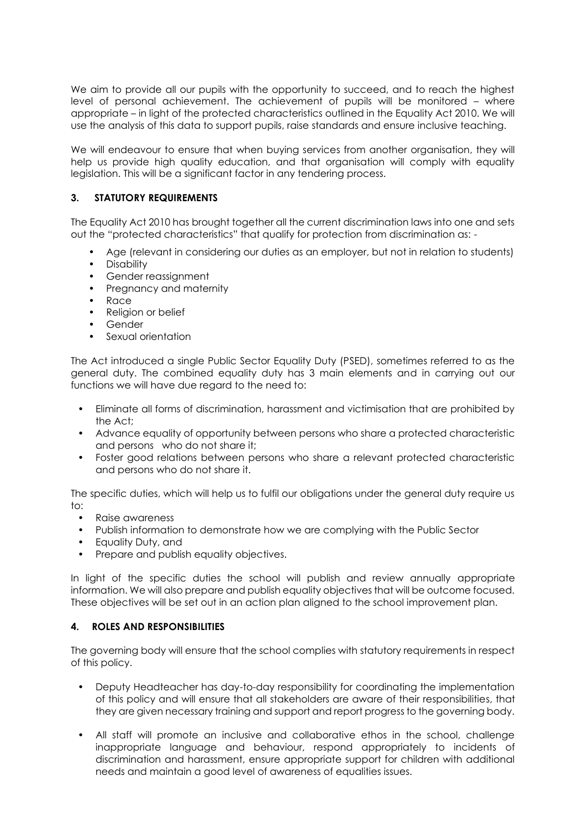We aim to provide all our pupils with the opportunity to succeed, and to reach the highest level of personal achievement. The achievement of pupils will be monitored – where appropriate – in light of the protected characteristics outlined in the Equality Act 2010. We will use the analysis of this data to support pupils, raise standards and ensure inclusive teaching.

We will endeavour to ensure that when buying services from another organisation, they will help us provide high quality education, and that organisation will comply with equality legislation. This will be a significant factor in any tendering process.

### **3. STATUTORY REQUIREMENTS**

The Equality Act 2010 has brought together all the current discrimination laws into one and sets out the "protected characteristics" that qualify for protection from discrimination as: -

- Age (relevant in considering our duties as an employer, but not in relation to students)
- Disability
- Gender reassignment
- Pregnancy and maternity
- Race
- Religion or belief
- Gender
- Sexual orientation

The Act introduced a single Public Sector Equality Duty (PSED), sometimes referred to as the general duty. The combined equality duty has 3 main elements and in carrying out our functions we will have due regard to the need to:

- Eliminate all forms of discrimination, harassment and victimisation that are prohibited by the Act;
- Advance equality of opportunity between persons who share a protected characteristic and persons who do not share it;
- Foster good relations between persons who share a relevant protected characteristic and persons who do not share it.

The specific duties, which will help us to fulfil our obligations under the general duty require us to:

- Raise awareness
- Publish information to demonstrate how we are complying with the Public Sector
- Equality Duty, and
- Prepare and publish equality objectives.

In light of the specific duties the school will publish and review annually appropriate information. We will also prepare and publish equality objectives that will be outcome focused. These objectives will be set out in an action plan aligned to the school improvement plan.

#### **4. ROLES AND RESPONSIBILITIES**

The governing body will ensure that the school complies with statutory requirements in respect of this policy.

- Deputy Headteacher has day-to-day responsibility for coordinating the implementation of this policy and will ensure that all stakeholders are aware of their responsibilities, that they are given necessary training and support and report progress to the governing body.
- All staff will promote an inclusive and collaborative ethos in the school, challenge inappropriate language and behaviour, respond appropriately to incidents of discrimination and harassment, ensure appropriate support for children with additional needs and maintain a good level of awareness of equalities issues.